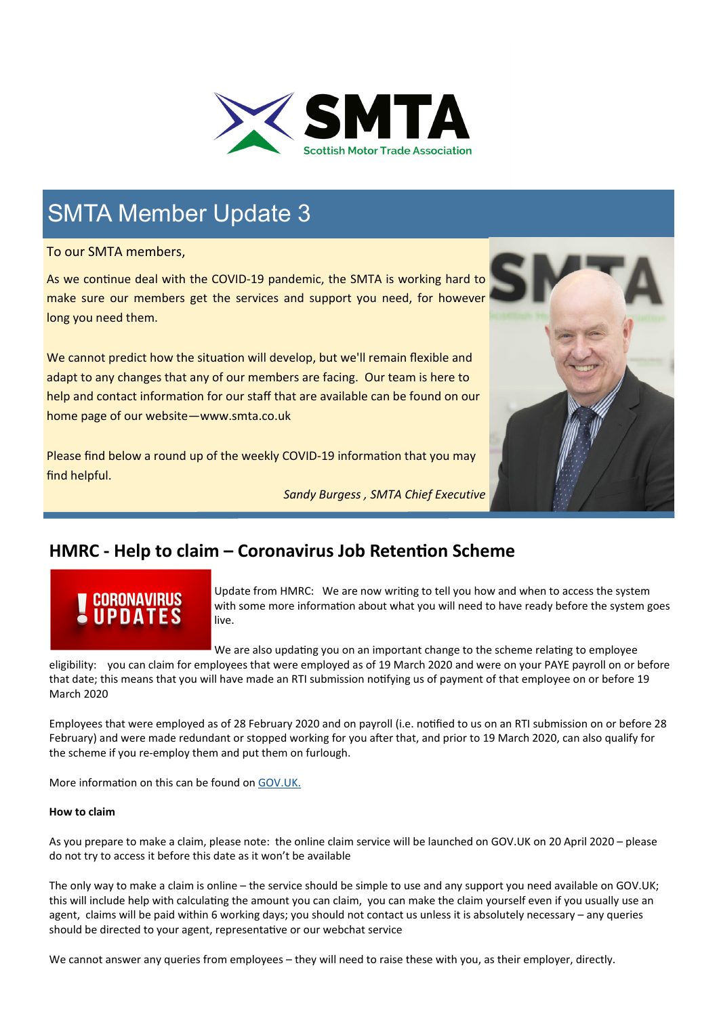

## SMTA Member Update 3

To our SMTA members,

As we continue deal with the COVID-19 pandemic, the SMTA is working hard to make sure our members get the services and support you need, for however long you need them.

We cannot predict how the situation will develop, but we'll remain flexible and adapt to any changes that any of our members are facing. Our team is here to help and contact information for our staff that are available can be found on our home page of our website—www.smta.co.uk

Please find below a round up of the weekly COVID-19 information that you may find helpful.

*Sandy Burgess , SMTA Chief Executive*



### **HMRC - Help to claim – Coronavirus Job Retention Scheme**

Update from HMRC: We are now writing to tell you how and when to access the system with some more information about what you will need to have ready before the system goes live.

We are also updating you on an important change to the scheme relating to employee

eligibility: you can claim for employees that were employed as of 19 March 2020 and were on your PAYE payroll on or before that date; this means that you will have made an RTI submission notifying us of payment of that employee on or before 19 March 2020

Employees that were employed as of 28 February 2020 and on payroll (i.e. notified to us on an RTI submission on or before 28 February) and were made redundant or stopped working for you after that, and prior to 19 March 2020, can also qualify for the scheme if you re‐employ them and put them on furlough.

More information on this can be found on [GOV.UK](https://www.gov.uk/).

#### **How to claim**

As you prepare to make a claim, please note: the online claim service will be launched on GOV.UK on 20 April 2020 – please do not try to access it before this date as it won't be available

The only way to make a claim is online – the service should be simple to use and any support you need available on GOV.UK; this will include help with calculating the amount you can claim, you can make the claim yourself even if you usually use an agent, claims will be paid within 6 working days; you should not contact us unless it is absolutely necessary – any queries should be directed to your agent, representative or our webchat service

We cannot answer any queries from employees – they will need to raise these with you, as their employer, directly.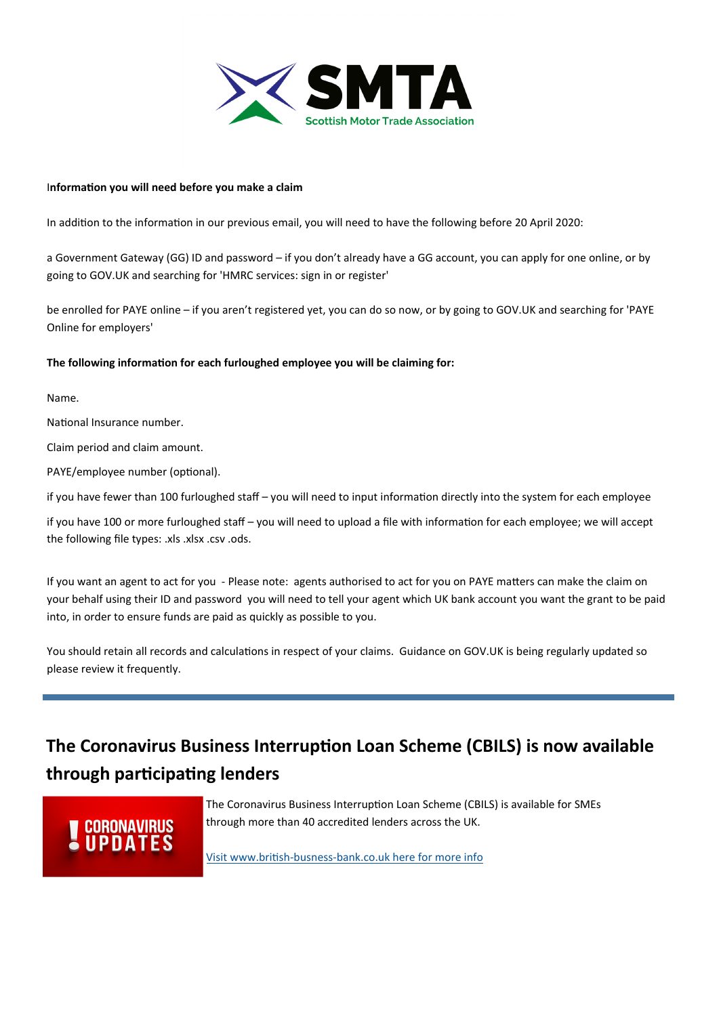

#### I**nformaƟon you will need before you make a claim**

In addition to the information in our previous email, you will need to have the following before 20 April 2020:

a Government Gateway (GG) ID and password – if you don't already have a GG account, you can apply for one online, or by going to GOV.UK and searching for 'HMRC services: sign in or register'

be enrolled for PAYE online – if you aren't registered yet, you can do so now, or by going to GOV.UK and searching for 'PAYE Online for employers'

#### The following information for each furloughed employee you will be claiming for:

Name.

National Insurance number.

Claim period and claim amount.

PAYE/employee number (optional).

if you have fewer than 100 furloughed staff – you will need to input information directly into the system for each employee

if you have 100 or more furloughed staff – you will need to upload a file with information for each employee; we will accept the following file types: .xls .xlsx .csv .ods.

If you want an agent to act for you - Please note: agents authorised to act for you on PAYE matters can make the claim on your behalf using their ID and password you will need to tell your agent which UK bank account you want the grant to be paid into, in order to ensure funds are paid as quickly as possible to you.

You should retain all records and calculations in respect of your claims. Guidance on GOV.UK is being regularly updated so please review it frequently.

## **The Coronavirus Business Interruption Loan Scheme (CBILS) is now available through parƟcipaƟng lenders**

## **CORONAVIRUS**

The Coronavirus Business Interruption Loan Scheme (CBILS) is available for SMEs through more than 40 accredited lenders across the UK.

Visit www.briƟsh‐busness‐[bank.co.uk here for more info](https://tinyurl.com/uuvpvqh)